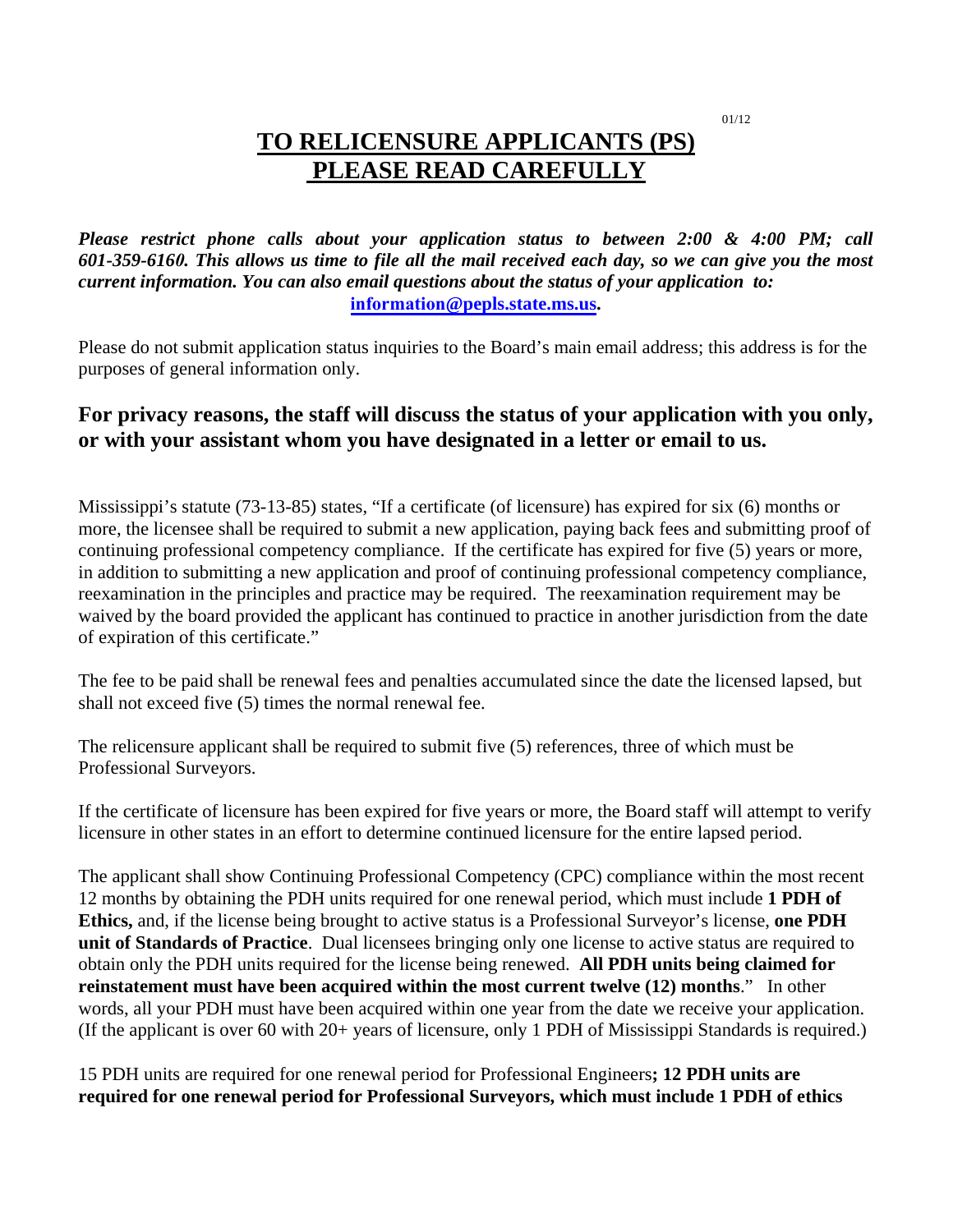01/12

# **TO RELICENSURE APPLICANTS (PS) PLEASE READ CAREFULLY**

*Please restrict phone calls about your application status to between 2:00 & 4:00 PM; call 601-359-6160. This allows us time to file all the mail received each day, so we can give you the most current information. You can also email questions about the status of your application to:*  **information@pepls.state.ms.us.** 

Please do not submit application status inquiries to the Board's main email address; this address is for the purposes of general information only.

# **For privacy reasons, the staff will discuss the status of your application with you only, or with your assistant whom you have designated in a letter or email to us.**

Mississippi's statute (73-13-85) states, "If a certificate (of licensure) has expired for six (6) months or more, the licensee shall be required to submit a new application, paying back fees and submitting proof of continuing professional competency compliance. If the certificate has expired for five (5) years or more, in addition to submitting a new application and proof of continuing professional competency compliance, reexamination in the principles and practice may be required. The reexamination requirement may be waived by the board provided the applicant has continued to practice in another jurisdiction from the date of expiration of this certificate."

The fee to be paid shall be renewal fees and penalties accumulated since the date the licensed lapsed, but shall not exceed five (5) times the normal renewal fee.

The relicensure applicant shall be required to submit five (5) references, three of which must be Professional Surveyors.

If the certificate of licensure has been expired for five years or more, the Board staff will attempt to verify licensure in other states in an effort to determine continued licensure for the entire lapsed period.

The applicant shall show Continuing Professional Competency (CPC) compliance within the most recent 12 months by obtaining the PDH units required for one renewal period, which must include **1 PDH of Ethics,** and, if the license being brought to active status is a Professional Surveyor's license, **one PDH unit of Standards of Practice**. Dual licensees bringing only one license to active status are required to obtain only the PDH units required for the license being renewed. **All PDH units being claimed for reinstatement must have been acquired within the most current twelve (12) months**." In other words, all your PDH must have been acquired within one year from the date we receive your application. (If the applicant is over 60 with 20+ years of licensure, only 1 PDH of Mississippi Standards is required.)

15 PDH units are required for one renewal period for Professional Engineers**; 12 PDH units are required for one renewal period for Professional Surveyors, which must include 1 PDH of ethics**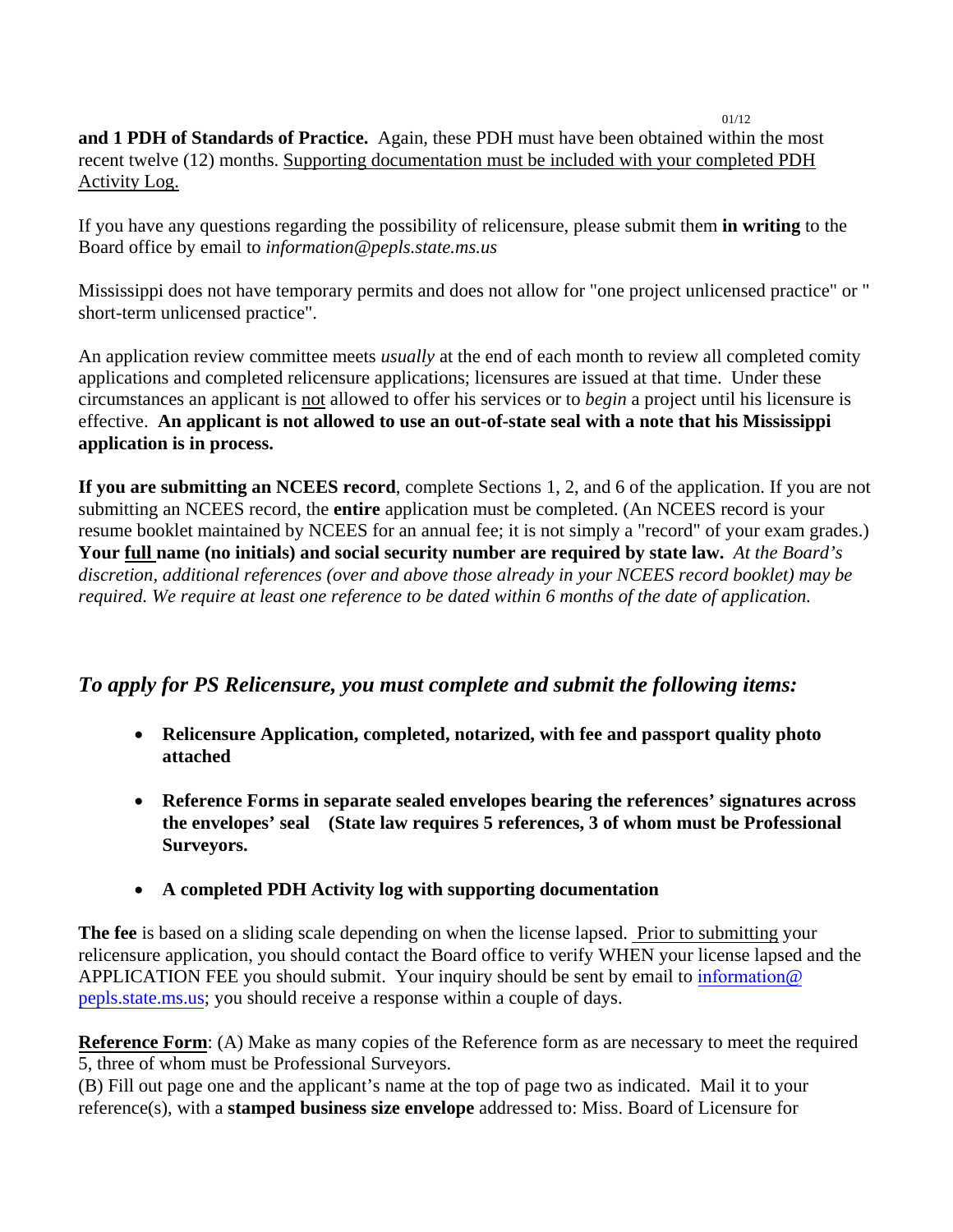**and 1 PDH of Standards of Practice.** Again, these PDH must have been obtained within the most recent twelve (12) months. Supporting documentation must be included with your completed PDH Activity Log.

If you have any questions regarding the possibility of relicensure, please submit them **in writing** to the Board office by email to *information@pepls.state.ms.us* 

Mississippi does not have temporary permits and does not allow for "one project unlicensed practice" or " short-term unlicensed practice".

An application review committee meets *usually* at the end of each month to review all completed comity applications and completed relicensure applications; licensures are issued at that time. Under these circumstances an applicant is not allowed to offer his services or to *begin* a project until his licensure is effective. **An applicant is not allowed to use an out-of-state seal with a note that his Mississippi application is in process.**

**If you are submitting an NCEES record**, complete Sections 1, 2, and 6 of the application. If you are not submitting an NCEES record, the **entire** application must be completed. (An NCEES record is your resume booklet maintained by NCEES for an annual fee; it is not simply a "record" of your exam grades.) **Your full name (no initials) and social security number are required by state law.** *At the Board's discretion, additional references (over and above those already in your NCEES record booklet) may be required. We require at least one reference to be dated within 6 months of the date of application.* 

## *To apply for PS Relicensure, you must complete and submit the following items:*

- **Relicensure Application, completed, notarized, with fee and passport quality photo attached**
- **Reference Forms in separate sealed envelopes bearing the references' signatures across the envelopes' seal (State law requires 5 references, 3 of whom must be Professional Surveyors.**
- **A completed PDH Activity log with supporting documentation**

**The fee** is based on a sliding scale depending on when the license lapsed. Prior to submitting your relicensure application, you should contact the Board office to verify WHEN your license lapsed and the APPLICATION FEE you should submit. Your inquiry should be sent by email to information@ pepls.state.ms.us; you should receive a response within a couple of days.

**Reference Form**: (A) Make as many copies of the Reference form as are necessary to meet the required 5, three of whom must be Professional Surveyors.

(B) Fill out page one and the applicant's name at the top of page two as indicated. Mail it to your reference(s), with a **stamped business size envelope** addressed to: Miss. Board of Licensure for

#### 01/12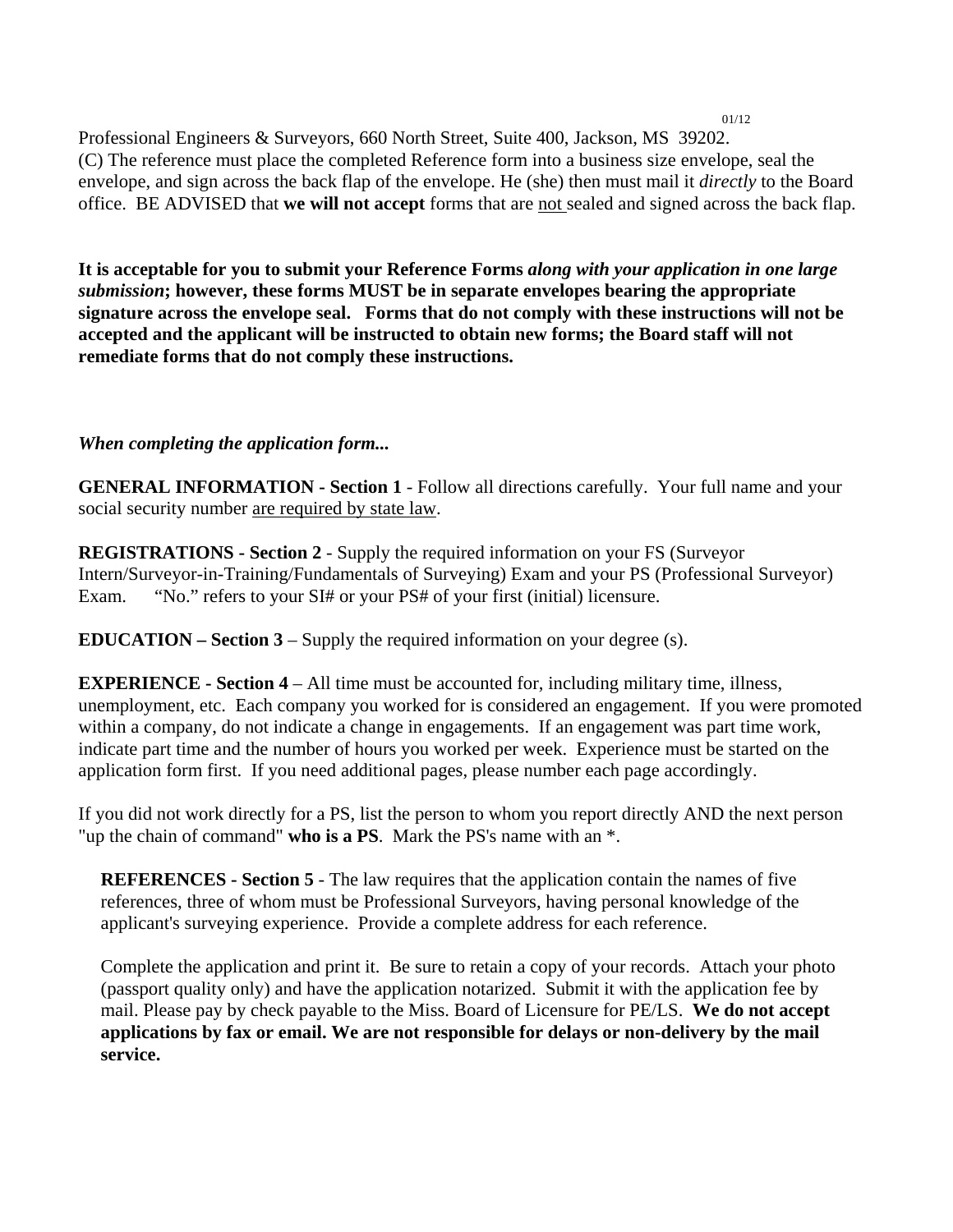Professional Engineers & Surveyors, 660 North Street, Suite 400, Jackson, MS 39202. (C) The reference must place the completed Reference form into a business size envelope, seal the envelope, and sign across the back flap of the envelope. He (she) then must mail it *directly* to the Board office. BE ADVISED that **we will not accept** forms that are not sealed and signed across the back flap.

01/12

**It is acceptable for you to submit your Reference Forms** *along with your application in one large submission***; however, these forms MUST be in separate envelopes bearing the appropriate signature across the envelope seal. Forms that do not comply with these instructions will not be accepted and the applicant will be instructed to obtain new forms; the Board staff will not remediate forms that do not comply these instructions.** 

### *When completing the application form...*

**GENERAL INFORMATION - Section 1** - Follow all directions carefully. Your full name and your social security number are required by state law.

**REGISTRATIONS - Section 2** - Supply the required information on your FS (Surveyor Intern/Surveyor-in-Training/Fundamentals of Surveying) Exam and your PS (Professional Surveyor) Exam. "No." refers to your SI# or your PS# of your first (initial) licensure.

**EDUCATION – Section 3** – Supply the required information on your degree (s).

**EXPERIENCE - Section 4** – All time must be accounted for, including military time, illness, unemployment, etc. Each company you worked for is considered an engagement. If you were promoted within a company, do not indicate a change in engagements. If an engagement was part time work, indicate part time and the number of hours you worked per week. Experience must be started on the application form first. If you need additional pages, please number each page accordingly.

If you did not work directly for a PS, list the person to whom you report directly AND the next person "up the chain of command" **who is a PS**. Mark the PS's name with an \*.

**REFERENCES - Section 5** - The law requires that the application contain the names of five references, three of whom must be Professional Surveyors, having personal knowledge of the applicant's surveying experience. Provide a complete address for each reference.

Complete the application and print it. Be sure to retain a copy of your records. Attach your photo (passport quality only) and have the application notarized. Submit it with the application fee by mail. Please pay by check payable to the Miss. Board of Licensure for PE/LS. **We do not accept applications by fax or email. We are not responsible for delays or non-delivery by the mail service.**